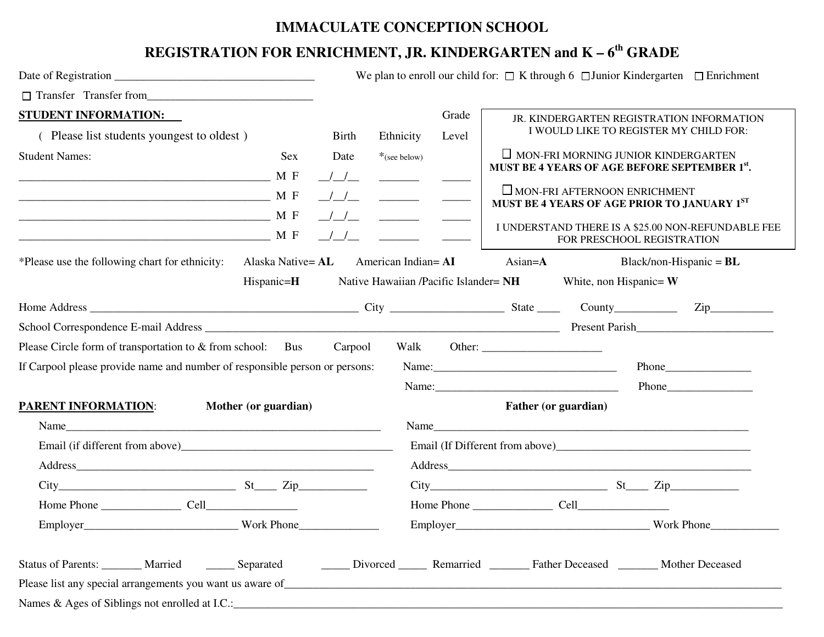## **IMMACULATE CONCEPTION SCHOOL**

## **REGISTRATION FOR ENRICHMENT, JR. KINDERGARTEN and K – 6th GRADE**

|                                                                                                                                   |                                                                                                                                                                                                                                                                                                                                                                                                                                                                                                                                                                                                                                                                                                                                                                                                                                                                                           | We plan to enroll our child for: $\Box$ K through 6 $\Box$ Junior Kindergarten $\Box$ Enrichment                                                                                                                                       |
|-----------------------------------------------------------------------------------------------------------------------------------|-------------------------------------------------------------------------------------------------------------------------------------------------------------------------------------------------------------------------------------------------------------------------------------------------------------------------------------------------------------------------------------------------------------------------------------------------------------------------------------------------------------------------------------------------------------------------------------------------------------------------------------------------------------------------------------------------------------------------------------------------------------------------------------------------------------------------------------------------------------------------------------------|----------------------------------------------------------------------------------------------------------------------------------------------------------------------------------------------------------------------------------------|
| Transfer Transfer from                                                                                                            |                                                                                                                                                                                                                                                                                                                                                                                                                                                                                                                                                                                                                                                                                                                                                                                                                                                                                           |                                                                                                                                                                                                                                        |
| <b>STUDENT INFORMATION:</b>                                                                                                       | Grade                                                                                                                                                                                                                                                                                                                                                                                                                                                                                                                                                                                                                                                                                                                                                                                                                                                                                     | JR. KINDERGARTEN REGISTRATION INFORMATION                                                                                                                                                                                              |
| (Please list students youngest to oldest)                                                                                         | Ethnicity<br>Birth<br>Level                                                                                                                                                                                                                                                                                                                                                                                                                                                                                                                                                                                                                                                                                                                                                                                                                                                               | I WOULD LIKE TO REGISTER MY CHILD FOR:                                                                                                                                                                                                 |
| <b>Student Names:</b><br>————————————————————— М F<br><b>MF</b>                                                                   | Sex<br>*(see below)<br>Date<br>$\frac{1}{1}$<br>$\frac{\mu}{\mu}$<br>$\begin{tabular}{c} \multicolumn{1}{c} {\textbf{1}} & \multicolumn{1}{c} {\textbf{2}} & \multicolumn{1}{c} {\textbf{3}} & \multicolumn{1}{c} {\textbf{4}} \\ \multicolumn{1}{c} {\textbf{5}} & \multicolumn{1}{c} {\textbf{6}} & \multicolumn{1}{c} {\textbf{7}} & \multicolumn{1}{c} {\textbf{8}} & \multicolumn{1}{c} {\textbf{9}} \\ \multicolumn{1}{c} {\textbf{1}} & \multicolumn{1}{c} {\textbf{1}} & \multicolumn{1}{c} {\textbf{1}} & \multicolumn{1}{c} {\textbf{1}} & \multicolumn$<br>$\frac{1}{2}$ $\frac{1}{2}$ $\frac{1}{2}$ $\frac{1}{2}$ $\frac{1}{2}$ $\frac{1}{2}$ $\frac{1}{2}$ $\frac{1}{2}$ $\frac{1}{2}$ $\frac{1}{2}$ $\frac{1}{2}$ $\frac{1}{2}$ $\frac{1}{2}$ $\frac{1}{2}$ $\frac{1}{2}$ $\frac{1}{2}$ $\frac{1}{2}$ $\frac{1}{2}$ $\frac{1}{2}$ $\frac{1}{2}$ $\frac{1}{2}$ $\frac{1}{2}$ | $\Box$ MON-FRI MORNING JUNIOR KINDERGARTEN<br>MUST BE 4 YEARS OF AGE BEFORE SEPTEMBER 1st.<br>$\Box$ MON-FRI AFTERNOON ENRICHMENT<br>MUST BE 4 YEARS OF AGE PRIOR TO JANUARY 1ST<br>I UNDERSTAND THERE IS A \$25.00 NON-REFUNDABLE FEE |
| <b>MF</b>                                                                                                                         | $\frac{1}{1}$                                                                                                                                                                                                                                                                                                                                                                                                                                                                                                                                                                                                                                                                                                                                                                                                                                                                             | FOR PRESCHOOL REGISTRATION                                                                                                                                                                                                             |
| *Please use the following chart for ethnicity:                                                                                    | Alaska Native= AL<br>American Indian= AI<br>$\text{Asian=}\mathbf{A}$                                                                                                                                                                                                                                                                                                                                                                                                                                                                                                                                                                                                                                                                                                                                                                                                                     | Black/non-Hispanic = $BL$                                                                                                                                                                                                              |
| $Hispanic = H$                                                                                                                    | Native Hawaiian /Pacific Islander= NH                                                                                                                                                                                                                                                                                                                                                                                                                                                                                                                                                                                                                                                                                                                                                                                                                                                     | White, non Hispanic= $W$                                                                                                                                                                                                               |
|                                                                                                                                   |                                                                                                                                                                                                                                                                                                                                                                                                                                                                                                                                                                                                                                                                                                                                                                                                                                                                                           |                                                                                                                                                                                                                                        |
|                                                                                                                                   |                                                                                                                                                                                                                                                                                                                                                                                                                                                                                                                                                                                                                                                                                                                                                                                                                                                                                           | Present Parish                                                                                                                                                                                                                         |
| Please Circle form of transportation to & from school: Bus                                                                        | Carpool<br>Walk                                                                                                                                                                                                                                                                                                                                                                                                                                                                                                                                                                                                                                                                                                                                                                                                                                                                           |                                                                                                                                                                                                                                        |
| If Carpool please provide name and number of responsible person or persons:                                                       |                                                                                                                                                                                                                                                                                                                                                                                                                                                                                                                                                                                                                                                                                                                                                                                                                                                                                           |                                                                                                                                                                                                                                        |
|                                                                                                                                   | Name:                                                                                                                                                                                                                                                                                                                                                                                                                                                                                                                                                                                                                                                                                                                                                                                                                                                                                     | <b>Phone</b>                                                                                                                                                                                                                           |
| <b>PARENT INFORMATION:</b><br>Mother (or guardian)                                                                                |                                                                                                                                                                                                                                                                                                                                                                                                                                                                                                                                                                                                                                                                                                                                                                                                                                                                                           | Father (or guardian)                                                                                                                                                                                                                   |
|                                                                                                                                   |                                                                                                                                                                                                                                                                                                                                                                                                                                                                                                                                                                                                                                                                                                                                                                                                                                                                                           | Name                                                                                                                                                                                                                                   |
|                                                                                                                                   |                                                                                                                                                                                                                                                                                                                                                                                                                                                                                                                                                                                                                                                                                                                                                                                                                                                                                           |                                                                                                                                                                                                                                        |
|                                                                                                                                   |                                                                                                                                                                                                                                                                                                                                                                                                                                                                                                                                                                                                                                                                                                                                                                                                                                                                                           |                                                                                                                                                                                                                                        |
| $City$ $St$ $Zip$ $Iip$                                                                                                           |                                                                                                                                                                                                                                                                                                                                                                                                                                                                                                                                                                                                                                                                                                                                                                                                                                                                                           | $City$ $St$ $Zip$ $Zip$                                                                                                                                                                                                                |
|                                                                                                                                   |                                                                                                                                                                                                                                                                                                                                                                                                                                                                                                                                                                                                                                                                                                                                                                                                                                                                                           |                                                                                                                                                                                                                                        |
|                                                                                                                                   |                                                                                                                                                                                                                                                                                                                                                                                                                                                                                                                                                                                                                                                                                                                                                                                                                                                                                           |                                                                                                                                                                                                                                        |
| Status of Parents: ______ Married ______ Separated ______ Divorced ______ Remarried ______ Father Deceased ______ Mother Deceased |                                                                                                                                                                                                                                                                                                                                                                                                                                                                                                                                                                                                                                                                                                                                                                                                                                                                                           |                                                                                                                                                                                                                                        |
|                                                                                                                                   |                                                                                                                                                                                                                                                                                                                                                                                                                                                                                                                                                                                                                                                                                                                                                                                                                                                                                           |                                                                                                                                                                                                                                        |
| Names & Ages of Siblings not enrolled at I.C.:                                                                                    |                                                                                                                                                                                                                                                                                                                                                                                                                                                                                                                                                                                                                                                                                                                                                                                                                                                                                           |                                                                                                                                                                                                                                        |